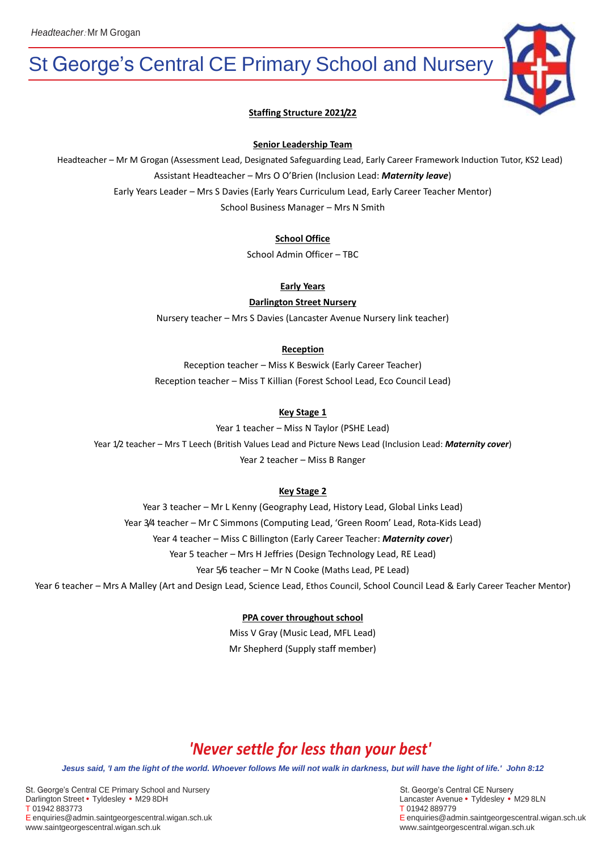# St George's Central CE Primary School and Nursery



### **Staffing Structure 2021/22**

#### **Senior Leadership Team**

Headteacher – Mr M Grogan (Assessment Lead, Designated Safeguarding Lead, Early Career Framework Induction Tutor, KS2 Lead) Assistant Headteacher – Mrs O O'Brien (Inclusion Lead: *Maternity leave*) Early Years Leader – Mrs S Davies (Early Years Curriculum Lead, Early Career Teacher Mentor)

School Business Manager – Mrs N Smith

#### **School Office**

School Admin Officer – TBC

#### **Early Years**

**Darlington Street Nursery**

Nursery teacher – Mrs S Davies (Lancaster Avenue Nursery link teacher)

#### **Reception**

Reception teacher – Miss K Beswick (Early Career Teacher) Reception teacher – Miss T Killian (Forest School Lead, Eco Council Lead)

#### **Key Stage 1**

Year 1 teacher – Miss N Taylor (PSHE Lead) Year 1/2 teacher – Mrs T Leech (British Values Lead and Picture News Lead (Inclusion Lead: *Maternity cover*) Year 2 teacher – Miss B Ranger

#### **Key Stage 2**

Year 3 teacher – Mr L Kenny (Geography Lead, History Lead, Global Links Lead) Year 3/4 teacher – Mr C Simmons (Computing Lead, 'Green Room' Lead, Rota-Kids Lead) Year 4 teacher – Miss C Billington (Early Career Teacher: *Maternity cover*) Year 5 teacher – Mrs H Jeffries (Design Technology Lead, RE Lead) Year 5/6 teacher – Mr N Cooke (Maths Lead, PE Lead)

Year 6 teacher – Mrs A Malley (Art and Design Lead, Science Lead, Ethos Council, School Council Lead & Early Career Teacher Mentor)

#### **PPA cover throughout school**

Miss V Gray (Music Lead, MFL Lead) Mr Shepherd (Supply staff member)

# *'Never settle for less than your best'*

*Jesus said, 'I am the light of the world. Whoever follows Me will not walk in darkness, but will have the light of life.' John 8:12*

St. George's Central CE Primary School and NurserySt. George's Central CE Nursery Darlington Street • Tyldesley • M29 8DH Lancaster Avenue • Tyldesley • M29 8LN T 01942 883773 T 01942 889779 E enquiries@admin.saintgeorgescentral.wigan.sch.uk E enquiries@admin.saintgeorgescentral.wigan.sch.uk www.saintgeorgescentral.wigan.sch.uk www.saintgeorgescentral.wigan.sch.uk